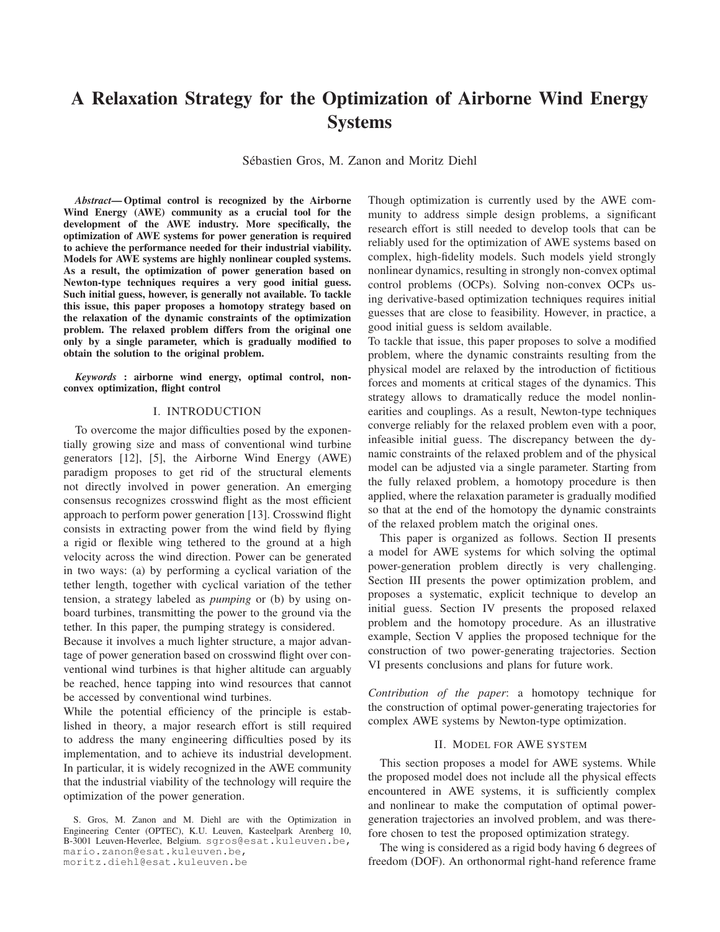# A Relaxation Strategy for the Optimization of Airborne Wind Energy **Systems**

Sébastien Gros, M. Zanon and Moritz Diehl

*Abstract*— Optimal control is recognized by the Airborne Wind Energy (AWE) community as a crucial tool for the development of the AWE industry. More specifically, the optimization of AWE systems for power generation is required to achieve the performance needed for their industrial viability. Models for AWE systems are highly nonlinear coupled systems. As a result, the optimization of power generation based on Newton-type techniques requires a very good initial guess. Such initial guess, however, is generally not available. To tackle this issue, this paper proposes a homotopy strategy based on the relaxation of the dynamic constraints of the optimization problem. The relaxed problem differs from the original one only by a single parameter, which is gradually modified to obtain the solution to the original problem.

*Keywords* : airborne wind energy, optimal control, nonconvex optimization, flight control

## I. INTRODUCTION

To overcome the major difficulties posed by the exponentially growing size and mass of conventional wind turbine generators [12], [5], the Airborne Wind Energy (AWE) paradigm proposes to get rid of the structural elements not directly involved in power generation. An emerging consensus recognizes crosswind flight as the most efficient approach to perform power generation [13]. Crosswind flight consists in extracting power from the wind field by flying a rigid or flexible wing tethered to the ground at a high velocity across the wind direction. Power can be generated in two ways: (a) by performing a cyclical variation of the tether length, together with cyclical variation of the tether tension, a strategy labeled as *pumping* or (b) by using onboard turbines, transmitting the power to the ground via the tether. In this paper, the pumping strategy is considered.

Because it involves a much lighter structure, a major advantage of power generation based on crosswind flight over conventional wind turbines is that higher altitude can arguably be reached, hence tapping into wind resources that cannot be accessed by conventional wind turbines.

While the potential efficiency of the principle is established in theory, a major research effort is still required to address the many engineering difficulties posed by its implementation, and to achieve its industrial development. In particular, it is widely recognized in the AWE community that the industrial viability of the technology will require the optimization of the power generation.

moritz.diehl@esat.kuleuven.be

Though optimization is currently used by the AWE community to address simple design problems, a significant research effort is still needed to develop tools that can be reliably used for the optimization of AWE systems based on complex, high-fidelity models. Such models yield strongly nonlinear dynamics, resulting in strongly non-convex optimal control problems (OCPs). Solving non-convex OCPs using derivative-based optimization techniques requires initial guesses that are close to feasibility. However, in practice, a good initial guess is seldom available.

To tackle that issue, this paper proposes to solve a modified problem, where the dynamic constraints resulting from the physical model are relaxed by the introduction of fictitious forces and moments at critical stages of the dynamics. This strategy allows to dramatically reduce the model nonlinearities and couplings. As a result, Newton-type techniques converge reliably for the relaxed problem even with a poor, infeasible initial guess. The discrepancy between the dynamic constraints of the relaxed problem and of the physical model can be adjusted via a single parameter. Starting from the fully relaxed problem, a homotopy procedure is then applied, where the relaxation parameter is gradually modified so that at the end of the homotopy the dynamic constraints of the relaxed problem match the original ones.

This paper is organized as follows. Section II presents a model for AWE systems for which solving the optimal power-generation problem directly is very challenging. Section III presents the power optimization problem, and proposes a systematic, explicit technique to develop an initial guess. Section IV presents the proposed relaxed problem and the homotopy procedure. As an illustrative example, Section V applies the proposed technique for the construction of two power-generating trajectories. Section VI presents conclusions and plans for future work.

*Contribution of the paper*: a homotopy technique for the construction of optimal power-generating trajectories for complex AWE systems by Newton-type optimization.

## II. MODEL FOR AWE SYSTEM

This section proposes a model for AWE systems. While the proposed model does not include all the physical effects encountered in AWE systems, it is sufficiently complex and nonlinear to make the computation of optimal powergeneration trajectories an involved problem, and was therefore chosen to test the proposed optimization strategy.

The wing is considered as a rigid body having 6 degrees of freedom (DOF). An orthonormal right-hand reference frame

S. Gros, M. Zanon and M. Diehl are with the Optimization in Engineering Center (OPTEC), K.U. Leuven, Kasteelpark Arenberg 10, B-3001 Leuven-Heverlee, Belgium. sgros@esat.kuleuven.be, mario.zanon@esat.kuleuven.be,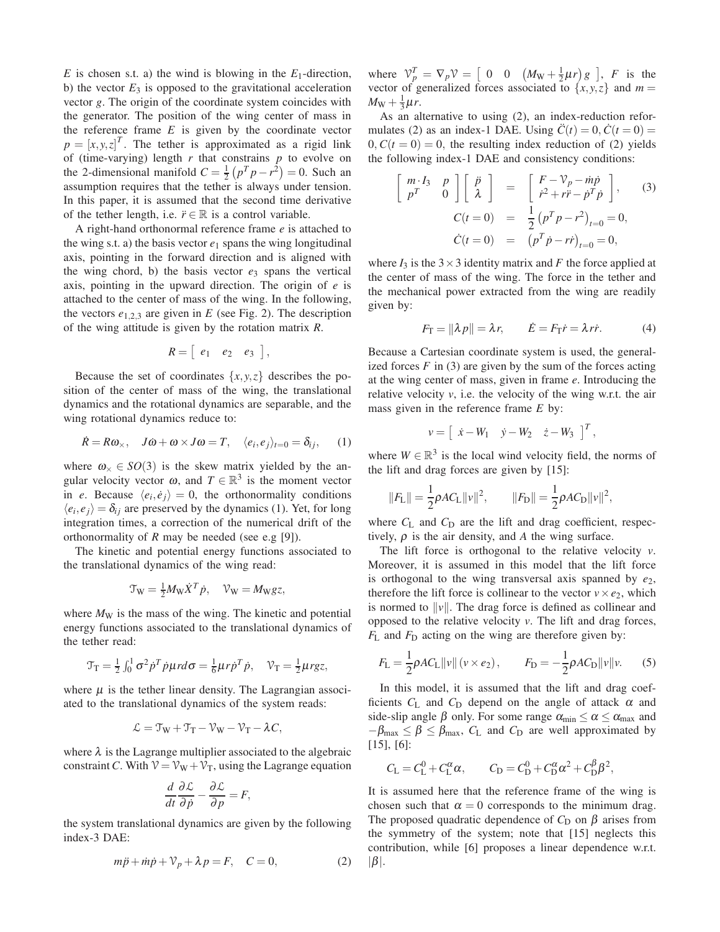*E* is chosen s.t. a) the wind is blowing in the *E*1-direction, b) the vector  $E_3$  is opposed to the gravitational acceleration vector *g*. The origin of the coordinate system coincides with the generator. The position of the wing center of mass in the reference frame  $E$  is given by the coordinate vector  $p = [x, y, z]^T$ . The tether is approximated as a rigid link of (time-varying) length *r* that constrains *p* to evolve on the 2-dimensional manifold  $C = \frac{1}{2} (p^T p - r^2) = 0$ . Such an assumption requires that the tether is always under tension. In this paper, it is assumed that the second time derivative of the tether length, i.e.  $\ddot{r} \in \mathbb{R}$  is a control variable.

A right-hand orthonormal reference frame *e* is attached to the wing s.t. a) the basis vector  $e_1$  spans the wing longitudinal axis, pointing in the forward direction and is aligned with the wing chord, b) the basis vector  $e_3$  spans the vertical axis, pointing in the upward direction. The origin of *e* is attached to the center of mass of the wing. In the following, the vectors  $e_{1,2,3}$  are given in  $E$  (see Fig. 2). The description of the wing attitude is given by the rotation matrix *R*.

$$
R = \left[ \begin{array}{ccc} e_1 & e_2 & e_3 \end{array} \right],
$$

Because the set of coordinates  $\{x, y, z\}$  describes the position of the center of mass of the wing, the translational dynamics and the rotational dynamics are separable, and the wing rotational dynamics reduce to:

$$
\dot{R} = R\omega_{\times}, \quad J\dot{\omega} + \omega \times J\omega = T, \quad \langle e_i, e_j \rangle_{t=0} = \delta_{ij}, \quad (1)
$$

where  $\omega_{\times} \in SO(3)$  is the skew matrix yielded by the angular velocity vector  $\omega$ , and  $T \in \mathbb{R}^3$  is the moment vector in *e*. Because  $\langle e_i, \dot{e}_j \rangle = 0$ , the orthonormality conditions  $\langle e_i, e_j \rangle = \delta_{ij}$  are preserved by the dynamics (1). Yet, for long integration times, a correction of the numerical drift of the orthonormality of *R* may be needed (see e.g [9]).

The kinetic and potential energy functions associated to the translational dynamics of the wing read:

$$
\mathcal{T}_{\mathbf{W}} = \frac{1}{2} M_{\mathbf{W}} \dot{X}^T \dot{p}, \quad \mathcal{V}_{\mathbf{W}} = M_{\mathbf{W}} g z,
$$

where  $M_W$  is the mass of the wing. The kinetic and potential energy functions associated to the translational dynamics of the tether read:

$$
\mathcal{T}_{\rm T} = \frac{1}{2} \int_0^1 \sigma^2 \dot{p}^T \dot{p} \mu r d\sigma = \frac{1}{6} \mu r \dot{p}^T \dot{p}, \quad \mathcal{V}_{\rm T} = \frac{1}{2} \mu r g z,
$$

where  $\mu$  is the tether linear density. The Lagrangian associated to the translational dynamics of the system reads:

$$
\mathcal{L} = \mathcal{T}_W + \mathcal{T}_T - \mathcal{V}_W - \mathcal{V}_T - \lambda \mathcal{C},
$$

where  $\lambda$  is the Lagrange multiplier associated to the algebraic constraint *C*. With  $V = V_W + V_T$ , using the Lagrange equation

$$
\frac{d}{dt}\frac{\partial \mathcal{L}}{\partial \dot{p}} - \frac{\partial \mathcal{L}}{\partial p} = F,
$$

the system translational dynamics are given by the following index-3 DAE:

$$
m\ddot{p} + \dot{m}\dot{p} + \mathcal{V}_p + \lambda p = F, \quad C = 0,
$$
 (2)

where  $V_p^T = \nabla_p V = \begin{bmatrix} 0 & 0 & (M_W + \frac{1}{2}\mu r) g \end{bmatrix}$ , *F* is the vector of generalized forces associated to  $\{x, y, z\}$  and  $m =$  $M_{\rm W} + \frac{1}{3}\mu r$ .

As an alternative to using (2), an index-reduction reformulates (2) as an index-1 DAE. Using  $\ddot{C}(t) = 0$ ,  $\dot{C}(t = 0) =$  $0, C(t = 0) = 0$ , the resulting index reduction of (2) yields the following index-1 DAE and consistency conditions:

$$
\begin{bmatrix}\nm \cdot I_3 & p \\
p^T & 0\n\end{bmatrix}\n\begin{bmatrix}\n\ddot{p} \\
\lambda\n\end{bmatrix} = \begin{bmatrix}\nF - \mathcal{V}_p - m\dot{p} \\
\dot{r}^2 + r\ddot{r} - \dot{p}^T\dot{p}\n\end{bmatrix},
$$
\n(3)\n
$$
C(t = 0) = \frac{1}{2} (p^T p - r^2)_{t=0} = 0,
$$
\n
$$
\dot{C}(t = 0) = (p^T \dot{p} - r\dot{r})_{t=0} = 0,
$$

where  $I_3$  is the  $3 \times 3$  identity matrix and *F* the force applied at the center of mass of the wing. The force in the tether and the mechanical power extracted from the wing are readily given by:

$$
F_{\rm T} = ||\lambda p|| = \lambda r, \qquad \dot{E} = F_{\rm T} \dot{r} = \lambda r \dot{r}.
$$
 (4)

Because a Cartesian coordinate system is used, the generalized forces  $F$  in (3) are given by the sum of the forces acting at the wing center of mass, given in frame *e*. Introducing the relative velocity *v*, i.e. the velocity of the wing w.r.t. the air mass given in the reference frame *E* by:

$$
v = \begin{bmatrix} \dot{x} - W_1 & \dot{y} - W_2 & \dot{z} - W_3 \end{bmatrix}^T,
$$

where  $W \in \mathbb{R}^3$  is the local wind velocity field, the norms of the lift and drag forces are given by [15]:

$$
||F_{\rm L}|| = \frac{1}{2}\rho A C_{\rm L} ||v||^2, \qquad ||F_{\rm D}|| = \frac{1}{2}\rho A C_{\rm D} ||v||^2,
$$

where  $C_L$  and  $C_D$  are the lift and drag coefficient, respectively,  $\rho$  is the air density, and *A* the wing surface.

The lift force is orthogonal to the relative velocity *v*. Moreover, it is assumed in this model that the lift force is orthogonal to the wing transversal axis spanned by  $e_2$ , therefore the lift force is collinear to the vector  $v \times e_2$ , which is normed to  $\|v\|$ . The drag force is defined as collinear and opposed to the relative velocity *v*. The lift and drag forces, *F*<sub>L</sub> and *F*<sub>D</sub> acting on the wing are therefore given by:

$$
F_{\rm L} = \frac{1}{2} \rho A C_{\rm L} ||v|| (v \times e_2), \qquad F_{\rm D} = -\frac{1}{2} \rho A C_{\rm D} ||v|| v. \tag{5}
$$

In this model, it is assumed that the lift and drag coefficients  $C_L$  and  $C_D$  depend on the angle of attack  $\alpha$  and side-slip angle  $\beta$  only. For some range  $\alpha_{\min} \le \alpha \le \alpha_{\max}$  and  $-\beta_{\text{max}} \leq \beta \leq \beta_{\text{max}}$ ,  $C_{\text{L}}$  and  $C_{\text{D}}$  are well approximated by [15], [6]:

$$
C_{L} = C_{L}^{0} + C_{L}^{\alpha} \alpha
$$
,  $C_{D} = C_{D}^{0} + C_{D}^{\alpha} \alpha^{2} + C_{D}^{\beta} \beta^{2}$ ,

It is assumed here that the reference frame of the wing is chosen such that  $\alpha = 0$  corresponds to the minimum drag. The proposed quadratic dependence of  $C_D$  on  $\beta$  arises from the symmetry of the system; note that [15] neglects this contribution, while [6] proposes a linear dependence w.r.t.  $|\beta|$ .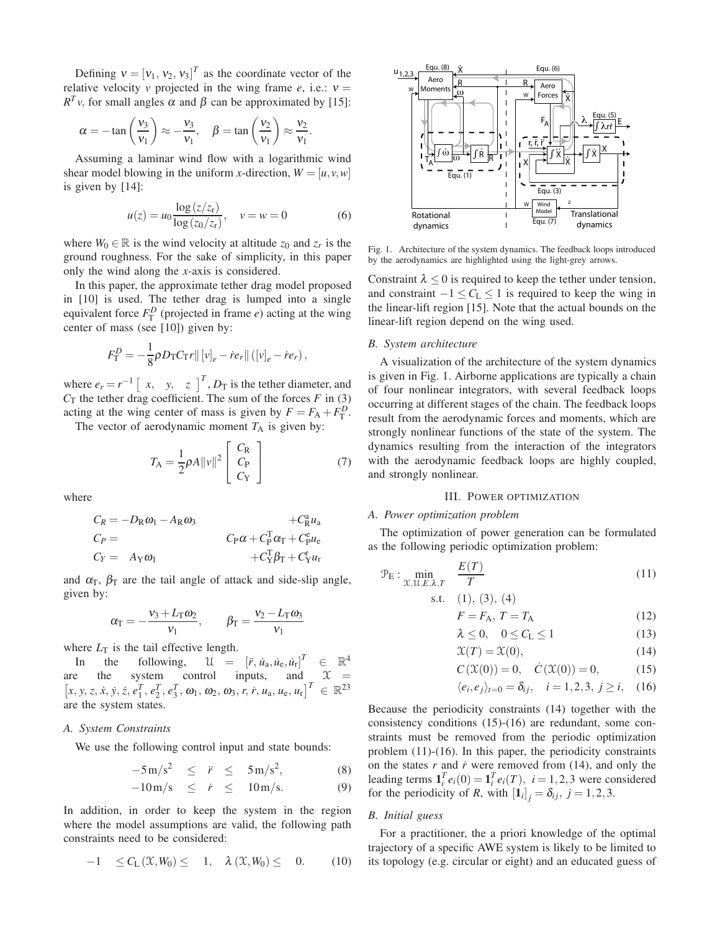Defining  $v = [v_1, v_2, v_3]^T$  as the coordinate vector of the relative velocity *v* projected in the wing frame  $e$ , i.e.:  $v =$  $R^T v$ , for small angles  $\alpha$  and  $\beta$  can be approximated by [15]:

$$
\alpha = -\tan\left(\frac{v_3}{v_1}\right) \approx -\frac{v_3}{v_1}, \quad \beta = \tan\left(\frac{v_2}{v_1}\right) \approx \frac{v_2}{v_1}.
$$

Assuming a laminar wind flow with a logarithmic wind shear model blowing in the uniform *x*-direction,  $W = [u, v, w]$ is given by [14]:

$$
u(z) = u_0 \frac{\log(z/z_r)}{\log(z_0/z_r)}, \quad v = w = 0 \tag{6}
$$

where  $W_0 \in \mathbb{R}$  is the wind velocity at altitude  $z_0$  and  $z_r$  is the ground roughness. For the sake of simplicity, in this paper only the wind along the *x*-axis is considered.

In this paper, the approximate tether drag model proposed in [10] is used. The tether drag is lumped into a single equivalent force  $F_{\rm T}^D$  (projected in frame *e*) acting at the wing center of mass (see [10]) given by:

$$
F_{\rm T}^{D} = -\frac{1}{8} \rho D_{\rm T} C_{\rm T} r || [v]_e - \dot{r} e_r || ([v]_e - \dot{r} e_r),
$$

where  $e_r = r^{-1} \begin{bmatrix} x, & y, & z \end{bmatrix}^T$ ,  $D_T$  is the tether diameter, and  $C_T$  the tether drag coefficient. The sum of the forces  $F$  in (3) acting at the wing center of mass is given by  $F = F_A + F_T^D$ .

The vector of aerodynamic moment  $T_A$  is given by:

$$
T_{\rm A} = \frac{1}{2} \rho A ||v||^2 \begin{bmatrix} C_{\rm R} \\ C_{\rm P} \\ C_{\rm Y} \end{bmatrix}
$$
 (7)

where

$$
C_R = -D_R \omega_1 - A_R \omega_3 + C_R^a u_a
$$
  
\n
$$
C_P = C_Y = A_Y \omega_1
$$
  
\n
$$
C_R \omega_1 + C_P^T \omega_T + C_Y^c u_r
$$

and  $\alpha_{\rm T}$ ,  $\beta_{\rm T}$  are the tail angle of attack and side-slip angle, given by:

$$
\alpha_{\rm T} = -\frac{v_3 + L_{\rm T}\omega_2}{v_1}, \qquad \beta_{\rm T} = \frac{v_2 - L_{\rm T}\omega_3}{v_1}
$$

where  $L_T$  is the tail effective length.

In the following,  $\mathcal{U} = [r, \dot{u}_a, \dot{u}_e, \dot{u}_r]^T \in \mathbb{R}^4$ are the system control inputs, and  $\mathcal{X}$  =  $[x, y, z, \dot{x}, \dot{y}, \dot{z}, e_1^T, e_2^T, e_3^T, \omega_1, \omega_2, \omega_3, r, \dot{r}, u_a, u_e, u_r]^T \in \mathbb{R}^{23}$ are the system states.

#### *A. System Constraints*

We use the following control input and state bounds:

$$
-5\,\mathrm{m/s^2} \quad \leq \quad \ddot{r} \quad \leq \quad 5\,\mathrm{m/s^2}, \tag{8}
$$

$$
-10 \,\mathrm{m/s} \quad \leq \quad \dot{r} \quad \leq \quad 10 \,\mathrm{m/s}. \tag{9}
$$

In addition, in order to keep the system in the region where the model assumptions are valid, the following path constraints need to be considered:

$$
-1 \leq C_{\mathcal{L}}(\mathfrak{X}, W_0) \leq 1, \quad \lambda(\mathfrak{X}, W_0) \leq 0. \tag{10}
$$



Fig. 1. Architecture of the system dynamics. The feedback loops introduced by the aerodynamics are highlighted using the light-grey arrows.

Constraint  $\lambda \leq 0$  is required to keep the tether under tension, and constraint  $-1 \leq C_L \leq 1$  is required to keep the wing in the linear-lift region [15]. Note that the actual bounds on the linear-lift region depend on the wing used.

#### *B. System architecture*

A visualization of the architecture of the system dynamics is given in Fig. 1. Airborne applications are typically a chain of four nonlinear integrators, with several feedback loops occurring at different stages of the chain. The feedback loops result from the aerodynamic forces and moments, which are strongly nonlinear functions of the state of the system. The dynamics resulting from the interaction of the integrators with the aerodynamic feedback loops are highly coupled, and strongly nonlinear.

## III. POWER OPTIMIZATION

#### *A. Power optimization problem*

The optimization of power generation can be formulated as the following periodic optimization problem:

$$
\mathcal{P}_E: \min_{\mathcal{X}, \mathcal{U}, E, \lambda, T} \quad \frac{E(T)}{T} \tag{11}
$$

s.t. 
$$
(1), (3), (4)
$$

$$
F = F_{\rm A}, T = T_{\rm A} \tag{12}
$$

$$
\lambda \le 0, \quad 0 \le C_{\mathcal{L}} \le 1 \tag{13}
$$

$$
\mathfrak{X}(T) = \mathfrak{X}(0),\tag{14}
$$

$$
C(\mathfrak{X}(0)) = 0, \quad \dot{C}(\mathfrak{X}(0)) = 0,
$$
 (15)

$$
\langle e_i, e_j \rangle_{t=0} = \delta_{ij}, \quad i = 1, 2, 3, j \ge i, \quad (16)
$$

Because the periodicity constraints (14) together with the consistency conditions (15)-(16) are redundant, some constraints must be removed from the periodic optimization problem (11)-(16). In this paper, the periodicity constraints on the states  $r$  and  $\dot{r}$  were removed from (14), and only the leading terms  $\mathbf{1}_i^T e_i(0) = \mathbf{1}_i^T e_i(T)$ ,  $i = 1, 2, 3$  were considered for the periodicity of *R*, with  $\left[\mathbf{1}_{i}\right]_{j} = \delta_{ij}, j = 1, 2, 3$ .

# *B. Initial guess*

For a practitioner, the a priori knowledge of the optimal trajectory of a specific AWE system is likely to be limited to its topology (e.g. circular or eight) and an educated guess of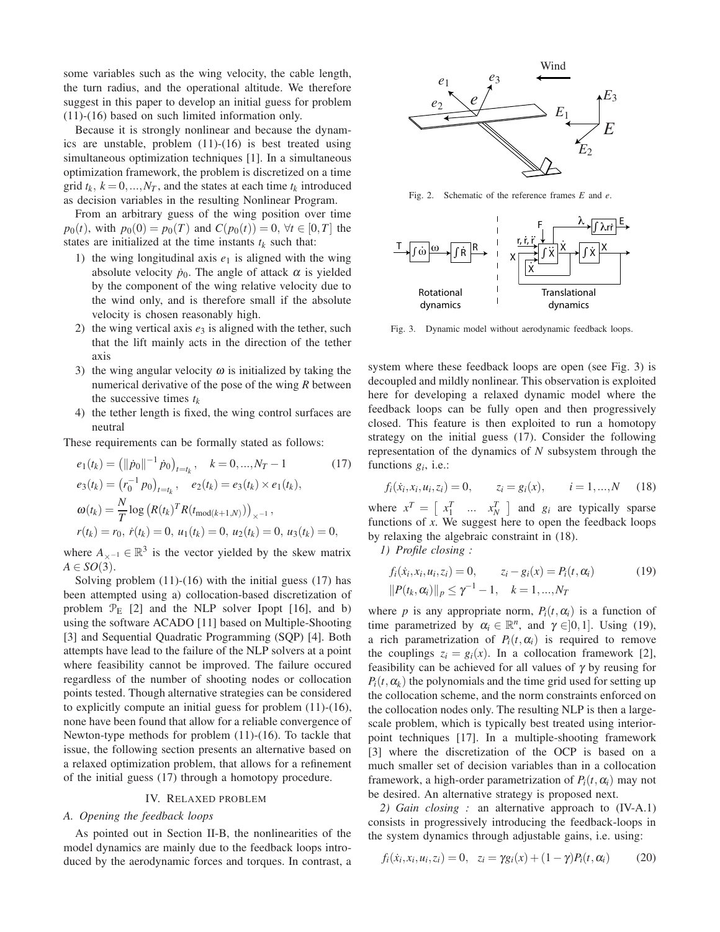some variables such as the wing velocity, the cable length, the turn radius, and the operational altitude. We therefore suggest in this paper to develop an initial guess for problem (11)-(16) based on such limited information only.

Because it is strongly nonlinear and because the dynamics are unstable, problem (11)-(16) is best treated using simultaneous optimization techniques [1]. In a simultaneous optimization framework, the problem is discretized on a time grid  $t_k$ ,  $k = 0, ..., N_T$ , and the states at each time  $t_k$  introduced as decision variables in the resulting Nonlinear Program.

From an arbitrary guess of the wing position over time *p*<sub>0</sub>(*t*), with  $p_0(0) = p_0(T)$  and  $C(p_0(t)) = 0$ ,  $\forall t \in [0, T]$  the states are initialized at the time instants  $t_k$  such that:

- 1) the wing longitudinal axis  $e_1$  is aligned with the wing absolute velocity  $\dot{p}_0$ . The angle of attack  $\alpha$  is yielded by the component of the wing relative velocity due to the wind only, and is therefore small if the absolute velocity is chosen reasonably high.
- 2) the wing vertical axis  $e_3$  is aligned with the tether, such that the lift mainly acts in the direction of the tether axis
- 3) the wing angular velocity  $\omega$  is initialized by taking the numerical derivative of the pose of the wing *R* between the successive times *t<sup>k</sup>*
- 4) the tether length is fixed, the wing control surfaces are neutral

These requirements can be formally stated as follows:

$$
e_1(t_k) = (||\dot{p}_0||^{-1} \dot{p}_0)_{t=t_k}, \quad k = 0, ..., N_T - 1
$$
(17)  
\n
$$
e_3(t_k) = (r_0^{-1} p_0)_{t=t_k}, \quad e_2(t_k) = e_3(t_k) \times e_1(t_k),
$$
  
\n
$$
\omega(t_k) = \frac{N}{T} \log (R(t_k)^T R(t_{\text{mod}(k+1,N)}))_{\times^{-1}},
$$
  
\n
$$
r(t_k) = r_0, \quad \dot{r}(t_k) = 0, \quad u_1(t_k) = 0, \quad u_2(t_k) = 0, \quad u_3(t_k) = 0,
$$

where  $A_{\times^{-1}} \in \mathbb{R}^3$  is the vector yielded by the skew matrix  $A \in SO(3)$ .

Solving problem  $(11)-(16)$  with the initial guess  $(17)$  has been attempted using a) collocation-based discretization of problem  $\mathcal{P}_E$  [2] and the NLP solver Ipopt [16], and b) using the software ACADO [11] based on Multiple-Shooting [3] and Sequential Quadratic Programming (SQP) [4]. Both attempts have lead to the failure of the NLP solvers at a point where feasibility cannot be improved. The failure occured regardless of the number of shooting nodes or collocation points tested. Though alternative strategies can be considered to explicitly compute an initial guess for problem (11)-(16), none have been found that allow for a reliable convergence of Newton-type methods for problem (11)-(16). To tackle that issue, the following section presents an alternative based on a relaxed optimization problem, that allows for a refinement of the initial guess (17) through a homotopy procedure.

#### IV. RELAXED PROBLEM

# *A. Opening the feedback loops*

As pointed out in Section II-B, the nonlinearities of the model dynamics are mainly due to the feedback loops introduced by the aerodynamic forces and torques. In contrast, a



Fig. 2. Schematic of the reference frames *E* and *e*.



Fig. 3. Dynamic model without aerodynamic feedback loops.

system where these feedback loops are open (see Fig. 3) is decoupled and mildly nonlinear. This observation is exploited here for developing a relaxed dynamic model where the feedback loops can be fully open and then progressively closed. This feature is then exploited to run a homotopy strategy on the initial guess (17). Consider the following representation of the dynamics of *N* subsystem through the functions  $g_i$ , i.e.:

$$
f_i(\dot{x}_i, x_i, u_i, z_i) = 0,
$$
  $z_i = g_i(x),$   $i = 1,...,N$  (18)

where  $x^T = \begin{bmatrix} x_1^T & \dots & x_N^T \end{bmatrix}$  and  $g_i$  are typically sparse functions of *x*. We suggest here to open the feedback loops by relaxing the algebraic constraint in (18).

*1) Profile closing :*

$$
f_i(\dot{x}_i, x_i, u_i, z_i) = 0, \qquad z_i - g_i(x) = P_i(t, \alpha_i)
$$
  

$$
||P(t_k, \alpha_i)||_p \le \gamma^{-1} - 1, \quad k = 1, ..., N_T
$$
 (19)

where *p* is any appropriate norm,  $P_i(t, \alpha_i)$  is a function of time parametrized by  $\alpha_i \in \mathbb{R}^n$ , and  $\gamma \in ]0,1]$ . Using (19), a rich parametrization of  $P_i(t, \alpha_i)$  is required to remove the couplings  $z_i = g_i(x)$ . In a collocation framework [2], feasibility can be achieved for all values of  $\gamma$  by reusing for  $P_i(t, \alpha_k)$  the polynomials and the time grid used for setting up the collocation scheme, and the norm constraints enforced on the collocation nodes only. The resulting NLP is then a largescale problem, which is typically best treated using interiorpoint techniques [17]. In a multiple-shooting framework [3] where the discretization of the OCP is based on a much smaller set of decision variables than in a collocation framework, a high-order parametrization of  $P_i(t, \alpha_i)$  may not be desired. An alternative strategy is proposed next.

*2) Gain closing :* an alternative approach to (IV-A.1) consists in progressively introducing the feedback-loops in the system dynamics through adjustable gains, i.e. using:

$$
f_i(\dot{x}_i, x_i, u_i, z_i) = 0, \quad z_i = \gamma g_i(x) + (1 - \gamma) P_i(t, \alpha_i)
$$
 (20)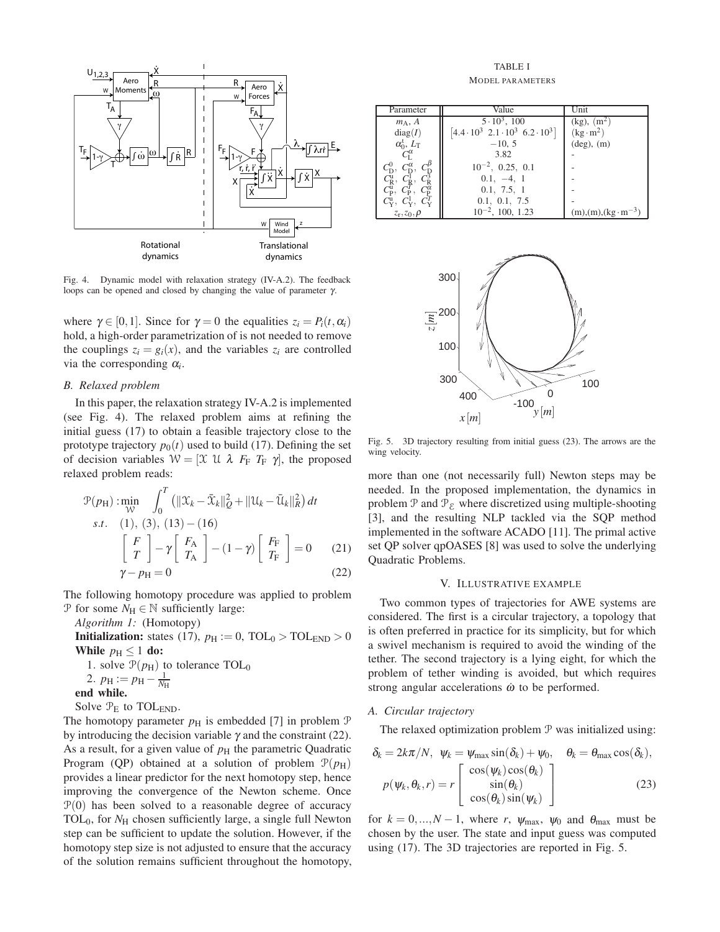

Fig. 4. Dynamic model with relaxation strategy (IV-A.2). The feedback loops can be opened and closed by changing the value of parameter  $γ$ .

where  $\gamma \in [0,1]$ . Since for  $\gamma = 0$  the equalities  $z_i = P_i(t, \alpha_i)$ hold, a high-order parametrization of is not needed to remove the couplings  $z_i = g_i(x)$ , and the variables  $z_i$  are controlled via the corresponding  $\alpha_i$ .

# *B. Relaxed problem*

In this paper, the relaxation strategy IV-A.2 is implemented (see Fig. 4). The relaxed problem aims at refining the initial guess (17) to obtain a feasible trajectory close to the prototype trajectory  $p_0(t)$  used to build (17). Defining the set of decision variables  $W = [\mathfrak{X} \mathfrak{U} \lambda F_F T_F \gamma]$ , the proposed relaxed problem reads:

$$
\mathcal{P}(p_{\mathrm{H}}): \min_{\mathcal{W}} \int_{0}^{T} \left( \|\mathcal{X}_{k} - \bar{\mathcal{X}}_{k}\|_{Q}^{2} + \|\mathcal{U}_{k} - \bar{\mathcal{U}}_{k}\|_{R}^{2} \right) dt
$$
  
s.t. (1), (3), (13) – (16)  

$$
\begin{bmatrix} F \\ T \end{bmatrix} - \gamma \begin{bmatrix} F_{\mathrm{A}} \\ T_{\mathrm{A}} \end{bmatrix} - (1 - \gamma) \begin{bmatrix} F_{\mathrm{F}} \\ T_{\mathrm{F}} \end{bmatrix} = 0
$$
 (21)  

$$
\gamma - p_{\mathrm{H}} = 0
$$
 (22)

The following homotopy procedure was applied to problem P for some  $N_H \in \mathbb{N}$  sufficiently large:

*Algorithm 1:* (Homotopy)

**Initialization:** states (17),  $p_H := 0$ ,  $TOL_0 > TOL_{END} > 0$ While  $p_H \leq 1$  do: 1. solve  $\mathcal{P}(p_H)$  to tolerance TOL<sub>0</sub> 2.  $p_{\rm H} := p_{\rm H} - \frac{1}{N_{\rm H}}$ end while.

Solve  $\mathcal{P}_E$  to TOL<sub>END</sub>.

The homotopy parameter  $p<sub>H</sub>$  is embedded [7] in problem  $P$ by introducing the decision variable  $\gamma$  and the constraint (22). As a result, for a given value of  $p<sub>H</sub>$  the parametric Quadratic Program (QP) obtained at a solution of problem  $P(p_H)$ provides a linear predictor for the next homotopy step, hence improving the convergence of the Newton scheme. Once  $P(0)$  has been solved to a reasonable degree of accuracy TOL<sub>0</sub>, for *N*H chosen sufficiently large, a single full Newton step can be sufficient to update the solution. However, if the homotopy step size is not adjusted to ensure that the accuracy of the solution remains sufficient throughout the homotopy,

TABLE I MODEL PARAMETERS

| Parameter                                                                                                                                                                           | Value                                                          | Unit                       |
|-------------------------------------------------------------------------------------------------------------------------------------------------------------------------------------|----------------------------------------------------------------|----------------------------|
| $m_A$ , A                                                                                                                                                                           | $5 \cdot 10^3$ , 100                                           | $(kg), (m^2)$              |
| diag(I)                                                                                                                                                                             | $[4.4 \cdot 10^3 \space 2.1 \cdot 10^3 \space 6.2 \cdot 10^3]$ | $(kg \cdot m^2)$           |
|                                                                                                                                                                                     | $-10, 5$                                                       | $(\text{deg})$ , $(m)$     |
| $\alpha_{0}^{\rm t}, L_{\rm T}$<br>$C_{\rm L}^{\alpha}$                                                                                                                             | 3.82                                                           |                            |
| $C_{\rm p}^{0}$ , $C_{\rm p}^{\alpha}$ , $C_{\rm p}^{\beta}$<br>$C_{\rm R}^{1}$ , $C_{\rm R}^{1}$ , $C_{\rm R}^{3}$<br>$C_{\rm p}^{0}$ , $C_{\rm p}^{\beta}$ , $C_{\rm p}^{\alpha}$ | $10^{-2}$ , 0.25, 0.1                                          |                            |
|                                                                                                                                                                                     | $0.1, -4, 1$                                                   |                            |
|                                                                                                                                                                                     | 0.1, 7.5, 1                                                    |                            |
| $C_Y^{\mathrm{u}}, C_Y^{\mathrm{I}}, C_Y^{\mathrm{I}}$                                                                                                                              | 0.1, 0.1, 7.5                                                  |                            |
| $z_r, z_0, \rho$                                                                                                                                                                    | $10^{-2}$ , 100, 1.23                                          | $(m),(m),(kg\cdot m^{-3})$ |



Fig. 5. 3D trajectory resulting from initial guess (23). The arrows are the wing velocity.

more than one (not necessarily full) Newton steps may be needed. In the proposed implementation, the dynamics in problem  $\mathcal P$  and  $\mathcal P_{\mathcal E}$  where discretized using multiple-shooting [3], and the resulting NLP tackled via the SQP method implemented in the software ACADO [11]. The primal active set QP solver qpOASES [8] was used to solve the underlying Quadratic Problems.

## V. ILLUSTRATIVE EXAMPLE

Two common types of trajectories for AWE systems are considered. The first is a circular trajectory, a topology that is often preferred in practice for its simplicity, but for which a swivel mechanism is required to avoid the winding of the tether. The second trajectory is a lying eight, for which the problem of tether winding is avoided, but which requires strong angular accelerations  $\dot{\omega}$  to be performed.

## *A. Circular trajectory*

The relaxed optimization problem  $P$  was initialized using:

$$
\delta_k = 2k\pi/N, \quad \psi_k = \psi_{\text{max}} \sin(\delta_k) + \psi_0, \quad \theta_k = \theta_{\text{max}} \cos(\delta_k),
$$
\n
$$
p(\psi_k, \theta_k, r) = r \begin{bmatrix} \cos(\psi_k) \cos(\theta_k) \\ \sin(\theta_k) \\ \cos(\theta_k) \sin(\psi_k) \end{bmatrix}
$$
\n(23)

for  $k = 0, ..., N - 1$ , where *r*,  $\psi_{\text{max}}$ ,  $\psi_0$  and  $\theta_{\text{max}}$  must be chosen by the user. The state and input guess was computed using (17). The 3D trajectories are reported in Fig. 5.